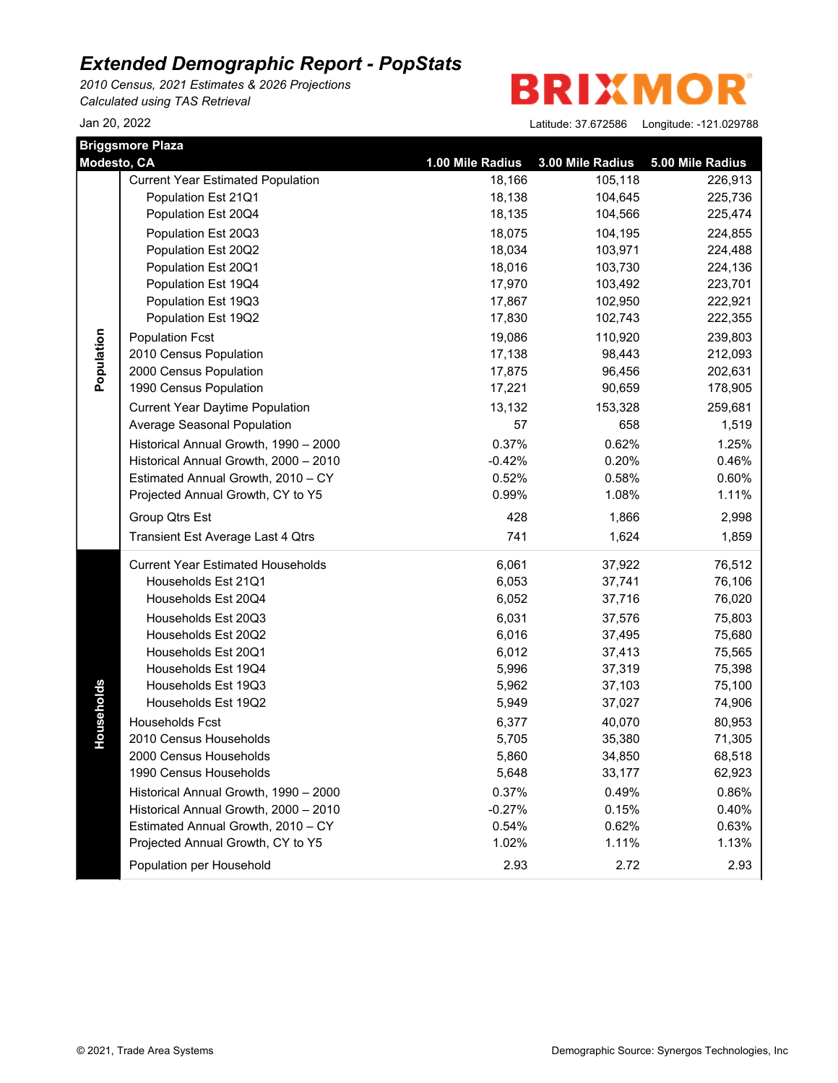*2010 Census, 2021 Estimates & 2026 Projections Calculated using TAS Retrieval*

**BRIXMOR** 

| Modesto, CA | <b>Briggsmore Plaza</b>                  | 1.00 Mile Radius | 3.00 Mile Radius | 5.00 Mile Radius |
|-------------|------------------------------------------|------------------|------------------|------------------|
|             | <b>Current Year Estimated Population</b> | 18,166           | 105,118          | 226,913          |
|             | Population Est 21Q1                      | 18,138           | 104,645          | 225,736          |
|             | Population Est 20Q4                      | 18,135           | 104,566          | 225,474          |
|             | Population Est 20Q3                      | 18,075           | 104,195          | 224,855          |
|             | Population Est 20Q2                      | 18,034           | 103,971          | 224,488          |
|             | Population Est 20Q1                      | 18,016           | 103,730          | 224,136          |
|             | Population Est 19Q4                      | 17,970           | 103,492          | 223,701          |
|             | Population Est 19Q3                      | 17,867           | 102,950          | 222,921          |
|             | Population Est 19Q2                      | 17,830           | 102,743          | 222,355          |
| Population  | <b>Population Fcst</b>                   | 19,086           | 110,920          | 239,803          |
|             | 2010 Census Population                   | 17,138           | 98,443           | 212,093          |
|             | 2000 Census Population                   | 17,875           | 96,456           | 202,631          |
|             | 1990 Census Population                   | 17,221           | 90,659           | 178,905          |
|             | <b>Current Year Daytime Population</b>   | 13,132           | 153,328          | 259,681          |
|             | Average Seasonal Population              | 57               | 658              | 1,519            |
|             | Historical Annual Growth, 1990 - 2000    | 0.37%            | 0.62%            | 1.25%            |
|             | Historical Annual Growth, 2000 - 2010    | $-0.42%$         | 0.20%            | 0.46%            |
|             | Estimated Annual Growth, 2010 - CY       | 0.52%            | 0.58%            | 0.60%            |
|             | Projected Annual Growth, CY to Y5        | 0.99%            | 1.08%            | 1.11%            |
|             | Group Qtrs Est                           | 428              | 1,866            | 2,998            |
|             | Transient Est Average Last 4 Qtrs        | 741              | 1,624            | 1,859            |
|             | <b>Current Year Estimated Households</b> | 6,061            | 37,922           | 76,512           |
|             | Households Est 21Q1                      | 6,053            | 37,741           | 76,106           |
|             | Households Est 20Q4                      | 6,052            | 37,716           | 76,020           |
|             | Households Est 20Q3                      | 6,031            | 37,576           | 75,803           |
|             | Households Est 20Q2                      | 6,016            | 37,495           | 75,680           |
|             | Households Est 20Q1                      | 6,012            | 37,413           | 75,565           |
|             | Households Est 19Q4                      | 5,996            | 37,319           | 75,398           |
| Households  | Households Est 19Q3                      | 5,962            | 37,103           | 75,100           |
|             | Households Est 19Q2                      | 5,949            | 37,027           | 74,906           |
|             | Households Fcst                          | 6,377            | 40,070           | 80,953           |
|             | 2010 Census Households                   | 5,705            | 35,380           | 71,305           |
|             | 2000 Census Households                   | 5,860            | 34,850           | 68,518           |
|             | 1990 Census Households                   | 5,648            | 33,177           | 62,923           |
|             | Historical Annual Growth, 1990 - 2000    | 0.37%            | 0.49%            | 0.86%            |
|             | Historical Annual Growth, 2000 - 2010    | $-0.27%$         | 0.15%            | 0.40%            |
|             | Estimated Annual Growth, 2010 - CY       | 0.54%            | 0.62%            | 0.63%            |
|             | Projected Annual Growth, CY to Y5        | 1.02%            | 1.11%            | 1.13%            |
|             | Population per Household                 | 2.93             | 2.72             | 2.93             |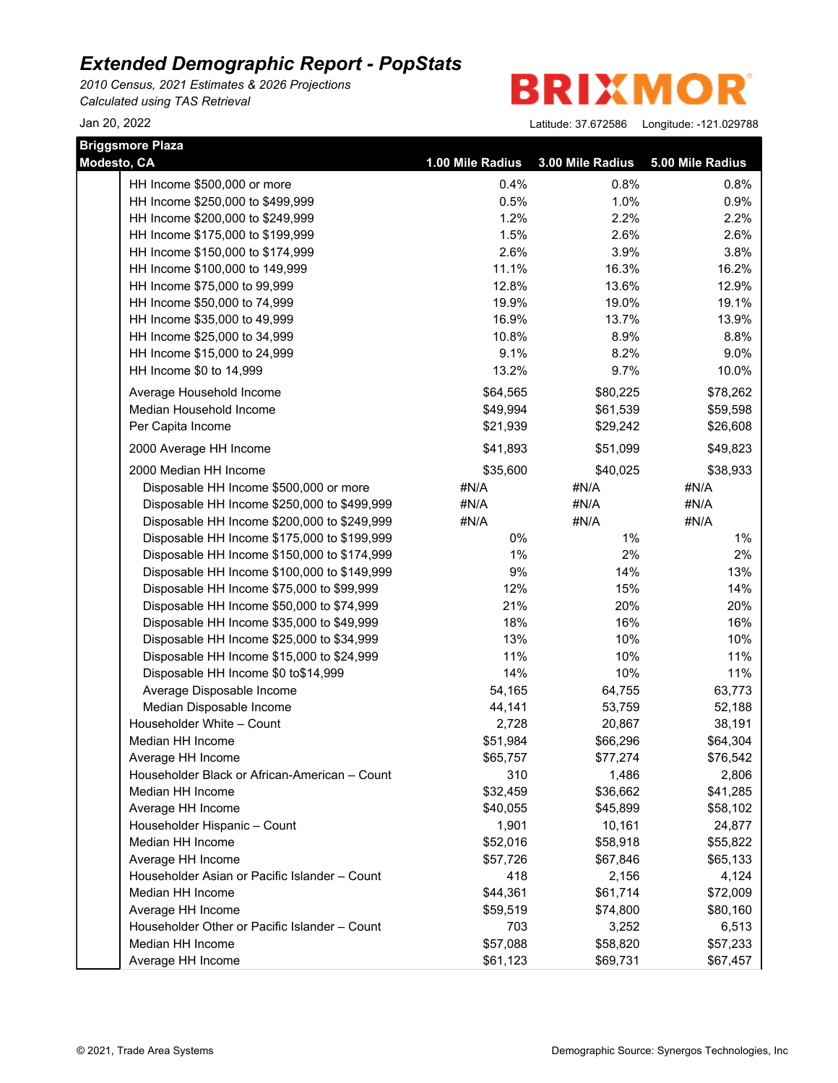*2010 Census, 2021 Estimates & 2026 Projections Calculated using TAS Retrieval*

**BRIXMOR** 

| <b>Briggsmore Plaza</b>                       |                  |                  |                  |
|-----------------------------------------------|------------------|------------------|------------------|
| Modesto, CA                                   | 1.00 Mile Radius | 3.00 Mile Radius | 5.00 Mile Radius |
| HH Income \$500,000 or more                   | 0.4%             | 0.8%             | 0.8%             |
| HH Income \$250,000 to \$499,999              | 0.5%             | 1.0%             | 0.9%             |
| HH Income \$200,000 to \$249,999              | 1.2%             | 2.2%             | 2.2%             |
| HH Income \$175,000 to \$199,999              | 1.5%             | 2.6%             | 2.6%             |
| HH Income \$150,000 to \$174,999              | 2.6%             | 3.9%             | 3.8%             |
| HH Income \$100,000 to 149,999                | 11.1%            | 16.3%            | 16.2%            |
| HH Income \$75,000 to 99,999                  | 12.8%            | 13.6%            | 12.9%            |
| HH Income \$50,000 to 74,999                  | 19.9%            | 19.0%            | 19.1%            |
| HH Income \$35,000 to 49,999                  | 16.9%            | 13.7%            | 13.9%            |
| HH Income \$25,000 to 34,999                  | 10.8%            | 8.9%             | 8.8%             |
| HH Income \$15,000 to 24,999                  | 9.1%             | 8.2%             | 9.0%             |
| HH Income \$0 to 14,999                       | 13.2%            | 9.7%             | 10.0%            |
| Average Household Income                      | \$64,565         | \$80,225         | \$78,262         |
| Median Household Income                       | \$49,994         | \$61,539         | \$59,598         |
| Per Capita Income                             | \$21,939         | \$29,242         | \$26,608         |
| 2000 Average HH Income                        | \$41,893         | \$51,099         | \$49,823         |
| 2000 Median HH Income                         | \$35,600         | \$40,025         | \$38,933         |
| Disposable HH Income \$500,000 or more        | #N/A             | #N/A             | #N/A             |
| Disposable HH Income \$250,000 to \$499,999   | #N/A             | #N/A             | #N/A             |
| Disposable HH Income \$200,000 to \$249,999   | #N/A             | #N/A             | #N/A             |
| Disposable HH Income \$175,000 to \$199,999   | 0%               | $1\%$            | $1\%$            |
| Disposable HH Income \$150,000 to \$174,999   | $1\%$            | 2%               | 2%               |
| Disposable HH Income \$100,000 to \$149,999   | 9%               | 14%              | 13%              |
| Disposable HH Income \$75,000 to \$99,999     | 12%              | 15%              | 14%              |
| Disposable HH Income \$50,000 to \$74,999     | 21%              | 20%              | 20%              |
| Disposable HH Income \$35,000 to \$49,999     | 18%              | 16%              | 16%              |
| Disposable HH Income \$25,000 to \$34,999     | 13%              | 10%              | 10%              |
| Disposable HH Income \$15,000 to \$24,999     | 11%              | 10%              | 11%              |
| Disposable HH Income \$0 to\$14,999           | 14%              | 10%              | 11%              |
| Average Disposable Income                     | 54,165           | 64,755           | 63,773           |
| Median Disposable Income                      | 44,141           | 53,759           | 52,188           |
| Householder White - Count                     | 2,728            | 20,867           | 38,191           |
| Median HH Income                              | \$51,984         | \$66,296         | \$64,304         |
| Average HH Income                             | \$65,757         | \$77,274         | \$76,542         |
| Householder Black or African-American - Count | 310              | 1,486            | 2,806            |
| Median HH Income                              | \$32,459         | \$36,662         | \$41,285         |
| Average HH Income                             | \$40,055         | \$45,899         | \$58,102         |
| Householder Hispanic - Count                  | 1,901            | 10,161           | 24,877           |
| Median HH Income                              | \$52,016         | \$58,918         | \$55,822         |
| Average HH Income                             | \$57,726         | \$67,846         | \$65,133         |
| Householder Asian or Pacific Islander - Count | 418              | 2,156            | 4,124            |
| Median HH Income                              | \$44,361         | \$61,714         | \$72,009         |
| Average HH Income                             | \$59,519         | \$74,800         | \$80,160         |
| Householder Other or Pacific Islander - Count | 703              | 3,252            | 6,513            |
| Median HH Income                              | \$57,088         | \$58,820         | \$57,233         |
| Average HH Income                             | \$61,123         | \$69,731         | \$67,457         |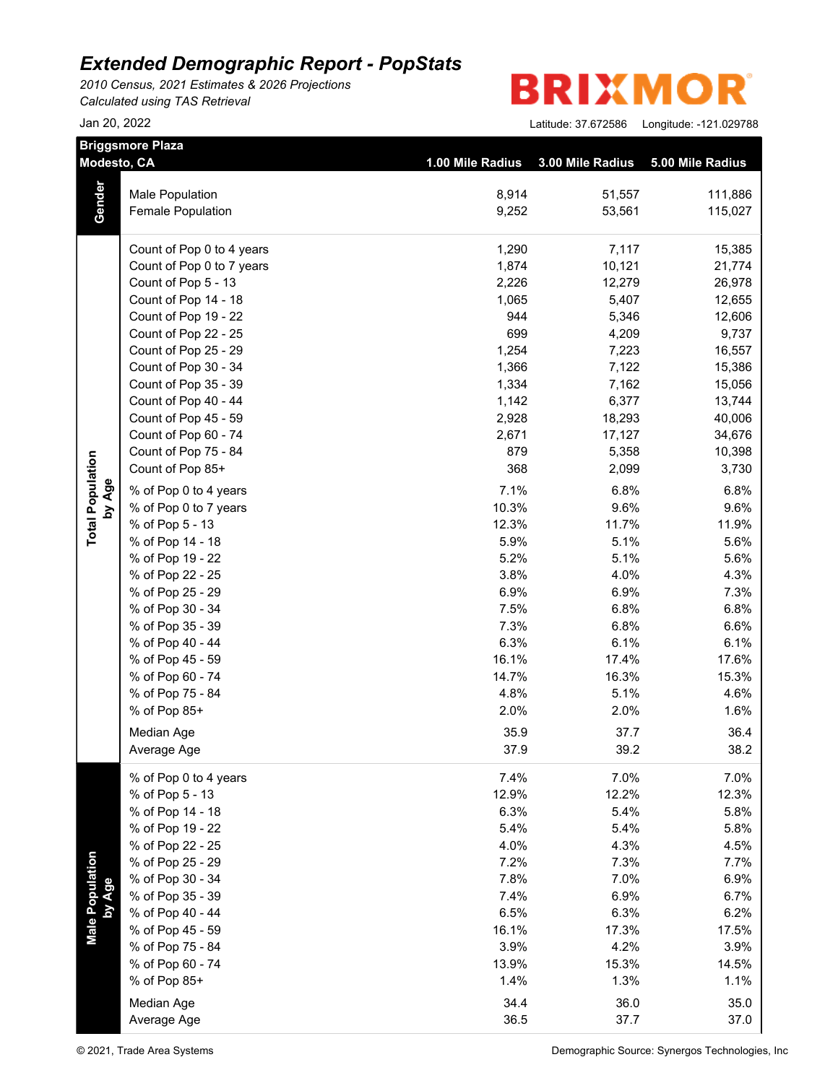*2010 Census, 2021 Estimates & 2026 Projections Calculated using TAS Retrieval*

| <b>BRIXMOR®</b> |  |  |  |  |  |  |
|-----------------|--|--|--|--|--|--|
|-----------------|--|--|--|--|--|--|

|                           | <b>Briggsmore Plaza</b><br>Modesto, CA | 1.00 Mile Radius | 3.00 Mile Radius | 5.00 Mile Radius |
|---------------------------|----------------------------------------|------------------|------------------|------------------|
|                           |                                        |                  |                  |                  |
| Gender                    | <b>Male Population</b>                 | 8,914            | 51,557           | 111,886          |
|                           | Female Population                      | 9,252            | 53,561           | 115,027          |
|                           | Count of Pop 0 to 4 years              | 1,290            | 7,117            | 15,385           |
|                           | Count of Pop 0 to 7 years              | 1,874            | 10,121           | 21,774           |
|                           | Count of Pop 5 - 13                    | 2,226            | 12,279           | 26,978           |
|                           | Count of Pop 14 - 18                   | 1,065            | 5,407            | 12,655           |
|                           | Count of Pop 19 - 22                   | 944              | 5,346            | 12,606           |
|                           | Count of Pop 22 - 25                   | 699              | 4,209            | 9,737            |
|                           | Count of Pop 25 - 29                   | 1,254            | 7,223            | 16,557           |
|                           | Count of Pop 30 - 34                   | 1,366            | 7,122            | 15,386           |
|                           | Count of Pop 35 - 39                   | 1,334            | 7,162            | 15,056           |
|                           | Count of Pop 40 - 44                   | 1,142            | 6,377            | 13,744           |
|                           | Count of Pop 45 - 59                   | 2,928            | 18,293           | 40,006           |
|                           | Count of Pop 60 - 74                   | 2,671            | 17,127           | 34,676           |
|                           | Count of Pop 75 - 84                   | 879              | 5,358            | 10,398           |
|                           | Count of Pop 85+                       | 368              | 2,099            | 3,730            |
|                           | % of Pop 0 to 4 years                  | 7.1%             | 6.8%             | 6.8%             |
| by Age                    | % of Pop 0 to 7 years                  | 10.3%            | 9.6%             | 9.6%             |
|                           | % of Pop 5 - 13                        | 12.3%            | 11.7%            | 11.9%            |
|                           | % of Pop 14 - 18                       | 5.9%             | 5.1%             | 5.6%             |
|                           | % of Pop 19 - 22                       | 5.2%             | 5.1%             | 5.6%             |
|                           | % of Pop 22 - 25                       | 3.8%             | 4.0%             | 4.3%             |
|                           | % of Pop 25 - 29                       | 6.9%             | 6.9%             | 7.3%             |
|                           | % of Pop 30 - 34                       | 7.5%             | 6.8%             | 6.8%             |
|                           | % of Pop 35 - 39                       | 7.3%             | 6.8%             | 6.6%             |
|                           | % of Pop 40 - 44                       | 6.3%             | 6.1%             | 6.1%             |
|                           | % of Pop 45 - 59                       | 16.1%            | 17.4%            | 17.6%            |
|                           | % of Pop 60 - 74                       | 14.7%            | 16.3%            | 15.3%            |
|                           | % of Pop 75 - 84                       | 4.8%             | 5.1%             | 4.6%             |
|                           | % of Pop 85+                           | 2.0%             | 2.0%             | 1.6%             |
|                           | Median Age                             | 35.9             | 37.7             | 36.4             |
|                           | Average Age                            | 37.9             | 39.2             | 38.2             |
|                           | % of Pop 0 to 4 years                  | 7.4%             | 7.0%             | 7.0%             |
|                           | % of Pop 5 - 13                        | 12.9%            | 12.2%            | 12.3%            |
|                           | % of Pop 14 - 18                       | 6.3%             | 5.4%             | 5.8%             |
|                           | % of Pop 19 - 22                       | 5.4%             | 5.4%             | 5.8%             |
|                           | % of Pop 22 - 25                       | 4.0%             | 4.3%             | 4.5%             |
|                           | % of Pop 25 - 29                       | 7.2%             | 7.3%             | 7.7%             |
|                           | % of Pop 30 - 34                       | 7.8%             | 7.0%             | 6.9%             |
|                           | % of Pop 35 - 39                       | 7.4%             | 6.9%             | 6.7%             |
|                           | % of Pop 40 - 44                       | 6.5%             | 6.3%             | 6.2%             |
| Male Population<br>by Age | % of Pop 45 - 59                       | 16.1%            | 17.3%            | 17.5%            |
|                           | % of Pop 75 - 84                       | 3.9%             | 4.2%             | 3.9%             |
|                           | % of Pop 60 - 74                       | 13.9%            | 15.3%            | 14.5%            |
|                           | % of Pop 85+                           | 1.4%             | 1.3%             | 1.1%             |
|                           | Median Age                             | 34.4             | 36.0             | 35.0             |
|                           | Average Age                            | 36.5             | 37.7             | 37.0             |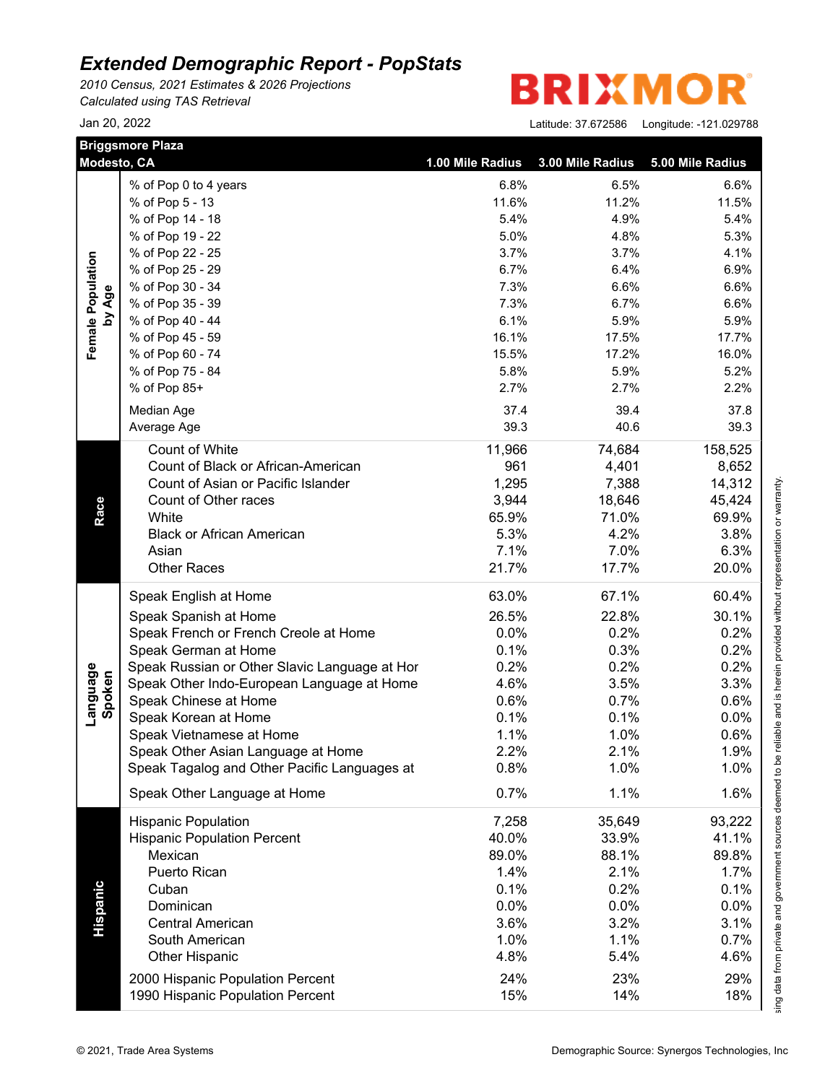*2010 Census, 2021 Estimates & 2026 Projections Calculated using TAS Retrieval*

R **BRIXMO** 

|                    | <b>Briggsmore Plaza</b><br>Modesto, CA        | 1.00 Mile Radius                                      |                                                                                                                                                                                                                                                                                                                                                                                                                                                                                                                                                                                                                                                                                                                                                                                                                                                                                                                                                                                                                                                                                              | 5.00 Mile Radius |
|--------------------|-----------------------------------------------|-------------------------------------------------------|----------------------------------------------------------------------------------------------------------------------------------------------------------------------------------------------------------------------------------------------------------------------------------------------------------------------------------------------------------------------------------------------------------------------------------------------------------------------------------------------------------------------------------------------------------------------------------------------------------------------------------------------------------------------------------------------------------------------------------------------------------------------------------------------------------------------------------------------------------------------------------------------------------------------------------------------------------------------------------------------------------------------------------------------------------------------------------------------|------------------|
|                    | % of Pop 0 to 4 years                         | 6.8%                                                  | 6.5%                                                                                                                                                                                                                                                                                                                                                                                                                                                                                                                                                                                                                                                                                                                                                                                                                                                                                                                                                                                                                                                                                         |                  |
|                    | % of Pop 5 - 13                               | 11.6%                                                 | 11.2%                                                                                                                                                                                                                                                                                                                                                                                                                                                                                                                                                                                                                                                                                                                                                                                                                                                                                                                                                                                                                                                                                        |                  |
|                    | % of Pop 14 - 18                              | 5.4%                                                  | 4.9%                                                                                                                                                                                                                                                                                                                                                                                                                                                                                                                                                                                                                                                                                                                                                                                                                                                                                                                                                                                                                                                                                         |                  |
|                    | % of Pop 19 - 22                              | 5.0%                                                  | 4.8%                                                                                                                                                                                                                                                                                                                                                                                                                                                                                                                                                                                                                                                                                                                                                                                                                                                                                                                                                                                                                                                                                         |                  |
|                    | % of Pop 22 - 25                              | 3.7%                                                  | 3.7%                                                                                                                                                                                                                                                                                                                                                                                                                                                                                                                                                                                                                                                                                                                                                                                                                                                                                                                                                                                                                                                                                         |                  |
| Female Population  | % of Pop 25 - 29                              | 6.7%                                                  | 3.00 Mile Radius<br>6.6%<br>11.5%<br>5.4%<br>5.3%<br>4.1%<br>6.4%<br>6.9%<br>7.3%<br>6.6%<br>6.6%<br>7.3%<br>6.7%<br>6.6%<br>6.1%<br>5.9%<br>5.9%<br>16.1%<br>17.5%<br>17.7%<br>15.5%<br>17.2%<br>16.0%<br>5.8%<br>5.2%<br>5.9%<br>2.7%<br>2.7%<br>2.2%<br>37.4<br>39.4<br>37.8<br>39.3<br>40.6<br>39.3<br>11,966<br>74,684<br>158,525<br>961<br>4,401<br>8,652<br>1,295<br>7,388<br>14,312<br>3,944<br>18,646<br>45,424<br>65.9%<br>71.0%<br>69.9%<br>5.3%<br>4.2%<br>3.8%<br>7.1%<br>7.0%<br>6.3%<br>21.7%<br>17.7%<br>20.0%<br>63.0%<br>67.1%<br>60.4%<br>26.5%<br>22.8%<br>30.1%<br>0.0%<br>0.2%<br>0.2%<br>0.1%<br>0.3%<br>0.2%<br>0.2%<br>0.2%<br>0.2%<br>4.6%<br>3.5%<br>3.3%<br>0.6%<br>0.7%<br>0.6%<br>0.1%<br>0.1%<br>0.0%<br>1.1%<br>1.0%<br>0.6%<br>2.2%<br>2.1%<br>1.9%<br>0.8%<br>1.0%<br>1.0%<br>0.7%<br>1.1%<br>1.6%<br>7,258<br>35,649<br>93,222<br>41.1%<br>40.0%<br>33.9%<br>89.0%<br>88.1%<br>89.8%<br>1.4%<br>2.1%<br>1.7%<br>0.1%<br>0.2%<br>0.1%<br>0.0%<br>0.0%<br>0.0%<br>3.6%<br>3.2%<br>3.1%<br>1.0%<br>1.1%<br>0.7%<br>4.8%<br>5.4%<br>4.6%<br>24%<br>23%<br>29% |                  |
|                    | % of Pop 30 - 34                              |                                                       |                                                                                                                                                                                                                                                                                                                                                                                                                                                                                                                                                                                                                                                                                                                                                                                                                                                                                                                                                                                                                                                                                              |                  |
| by Age             | % of Pop 35 - 39                              |                                                       |                                                                                                                                                                                                                                                                                                                                                                                                                                                                                                                                                                                                                                                                                                                                                                                                                                                                                                                                                                                                                                                                                              |                  |
|                    | % of Pop 40 - 44                              |                                                       |                                                                                                                                                                                                                                                                                                                                                                                                                                                                                                                                                                                                                                                                                                                                                                                                                                                                                                                                                                                                                                                                                              |                  |
|                    | % of Pop 45 - 59                              |                                                       |                                                                                                                                                                                                                                                                                                                                                                                                                                                                                                                                                                                                                                                                                                                                                                                                                                                                                                                                                                                                                                                                                              |                  |
|                    | % of Pop 60 - 74                              |                                                       |                                                                                                                                                                                                                                                                                                                                                                                                                                                                                                                                                                                                                                                                                                                                                                                                                                                                                                                                                                                                                                                                                              |                  |
|                    | % of Pop 75 - 84                              |                                                       |                                                                                                                                                                                                                                                                                                                                                                                                                                                                                                                                                                                                                                                                                                                                                                                                                                                                                                                                                                                                                                                                                              |                  |
|                    | % of Pop 85+                                  |                                                       |                                                                                                                                                                                                                                                                                                                                                                                                                                                                                                                                                                                                                                                                                                                                                                                                                                                                                                                                                                                                                                                                                              |                  |
|                    | Median Age                                    |                                                       |                                                                                                                                                                                                                                                                                                                                                                                                                                                                                                                                                                                                                                                                                                                                                                                                                                                                                                                                                                                                                                                                                              |                  |
|                    | Average Age                                   |                                                       |                                                                                                                                                                                                                                                                                                                                                                                                                                                                                                                                                                                                                                                                                                                                                                                                                                                                                                                                                                                                                                                                                              |                  |
|                    |                                               |                                                       |                                                                                                                                                                                                                                                                                                                                                                                                                                                                                                                                                                                                                                                                                                                                                                                                                                                                                                                                                                                                                                                                                              |                  |
|                    | Count of White                                |                                                       |                                                                                                                                                                                                                                                                                                                                                                                                                                                                                                                                                                                                                                                                                                                                                                                                                                                                                                                                                                                                                                                                                              |                  |
|                    | Count of Black or African-American            |                                                       |                                                                                                                                                                                                                                                                                                                                                                                                                                                                                                                                                                                                                                                                                                                                                                                                                                                                                                                                                                                                                                                                                              |                  |
|                    | Count of Asian or Pacific Islander            |                                                       |                                                                                                                                                                                                                                                                                                                                                                                                                                                                                                                                                                                                                                                                                                                                                                                                                                                                                                                                                                                                                                                                                              |                  |
|                    | Count of Other races                          |                                                       |                                                                                                                                                                                                                                                                                                                                                                                                                                                                                                                                                                                                                                                                                                                                                                                                                                                                                                                                                                                                                                                                                              |                  |
| Race               | White                                         |                                                       |                                                                                                                                                                                                                                                                                                                                                                                                                                                                                                                                                                                                                                                                                                                                                                                                                                                                                                                                                                                                                                                                                              |                  |
|                    | <b>Black or African American</b>              |                                                       |                                                                                                                                                                                                                                                                                                                                                                                                                                                                                                                                                                                                                                                                                                                                                                                                                                                                                                                                                                                                                                                                                              |                  |
|                    | Asian                                         |                                                       |                                                                                                                                                                                                                                                                                                                                                                                                                                                                                                                                                                                                                                                                                                                                                                                                                                                                                                                                                                                                                                                                                              |                  |
|                    | <b>Other Races</b>                            |                                                       |                                                                                                                                                                                                                                                                                                                                                                                                                                                                                                                                                                                                                                                                                                                                                                                                                                                                                                                                                                                                                                                                                              |                  |
|                    | Speak English at Home                         |                                                       |                                                                                                                                                                                                                                                                                                                                                                                                                                                                                                                                                                                                                                                                                                                                                                                                                                                                                                                                                                                                                                                                                              |                  |
|                    | Speak Spanish at Home                         |                                                       |                                                                                                                                                                                                                                                                                                                                                                                                                                                                                                                                                                                                                                                                                                                                                                                                                                                                                                                                                                                                                                                                                              |                  |
|                    | Speak French or French Creole at Home         | 1990 Hispanic Population Percent                      |                                                                                                                                                                                                                                                                                                                                                                                                                                                                                                                                                                                                                                                                                                                                                                                                                                                                                                                                                                                                                                                                                              |                  |
|                    | Speak German at Home                          |                                                       |                                                                                                                                                                                                                                                                                                                                                                                                                                                                                                                                                                                                                                                                                                                                                                                                                                                                                                                                                                                                                                                                                              |                  |
|                    | Speak Russian or Other Slavic Language at Hor |                                                       |                                                                                                                                                                                                                                                                                                                                                                                                                                                                                                                                                                                                                                                                                                                                                                                                                                                                                                                                                                                                                                                                                              |                  |
|                    | Speak Other Indo-European Language at Home    |                                                       |                                                                                                                                                                                                                                                                                                                                                                                                                                                                                                                                                                                                                                                                                                                                                                                                                                                                                                                                                                                                                                                                                              |                  |
| Language<br>Spoken | Speak Chinese at Home                         |                                                       |                                                                                                                                                                                                                                                                                                                                                                                                                                                                                                                                                                                                                                                                                                                                                                                                                                                                                                                                                                                                                                                                                              |                  |
|                    | Speak Korean at Home                          |                                                       |                                                                                                                                                                                                                                                                                                                                                                                                                                                                                                                                                                                                                                                                                                                                                                                                                                                                                                                                                                                                                                                                                              |                  |
|                    | Speak Vietnamese at Home                      |                                                       |                                                                                                                                                                                                                                                                                                                                                                                                                                                                                                                                                                                                                                                                                                                                                                                                                                                                                                                                                                                                                                                                                              |                  |
|                    | Speak Other Asian Language at Home            |                                                       |                                                                                                                                                                                                                                                                                                                                                                                                                                                                                                                                                                                                                                                                                                                                                                                                                                                                                                                                                                                                                                                                                              |                  |
|                    | Speak Tagalog and Other Pacific Languages at  |                                                       |                                                                                                                                                                                                                                                                                                                                                                                                                                                                                                                                                                                                                                                                                                                                                                                                                                                                                                                                                                                                                                                                                              |                  |
|                    | Speak Other Language at Home                  |                                                       |                                                                                                                                                                                                                                                                                                                                                                                                                                                                                                                                                                                                                                                                                                                                                                                                                                                                                                                                                                                                                                                                                              |                  |
|                    | <b>Hispanic Population</b>                    |                                                       |                                                                                                                                                                                                                                                                                                                                                                                                                                                                                                                                                                                                                                                                                                                                                                                                                                                                                                                                                                                                                                                                                              |                  |
|                    | <b>Hispanic Population Percent</b>            |                                                       | 14%                                                                                                                                                                                                                                                                                                                                                                                                                                                                                                                                                                                                                                                                                                                                                                                                                                                                                                                                                                                                                                                                                          |                  |
|                    | Mexican                                       | 15%<br>Demographic Source: Synergos Technologies, Inc |                                                                                                                                                                                                                                                                                                                                                                                                                                                                                                                                                                                                                                                                                                                                                                                                                                                                                                                                                                                                                                                                                              |                  |
|                    | Puerto Rican                                  |                                                       |                                                                                                                                                                                                                                                                                                                                                                                                                                                                                                                                                                                                                                                                                                                                                                                                                                                                                                                                                                                                                                                                                              |                  |
| Hispanic           | Cuban                                         |                                                       |                                                                                                                                                                                                                                                                                                                                                                                                                                                                                                                                                                                                                                                                                                                                                                                                                                                                                                                                                                                                                                                                                              |                  |
|                    | Dominican                                     |                                                       |                                                                                                                                                                                                                                                                                                                                                                                                                                                                                                                                                                                                                                                                                                                                                                                                                                                                                                                                                                                                                                                                                              |                  |
|                    | <b>Central American</b>                       |                                                       |                                                                                                                                                                                                                                                                                                                                                                                                                                                                                                                                                                                                                                                                                                                                                                                                                                                                                                                                                                                                                                                                                              |                  |
|                    | South American                                |                                                       |                                                                                                                                                                                                                                                                                                                                                                                                                                                                                                                                                                                                                                                                                                                                                                                                                                                                                                                                                                                                                                                                                              |                  |
|                    | <b>Other Hispanic</b>                         |                                                       |                                                                                                                                                                                                                                                                                                                                                                                                                                                                                                                                                                                                                                                                                                                                                                                                                                                                                                                                                                                                                                                                                              |                  |
|                    | 2000 Hispanic Population Percent              |                                                       |                                                                                                                                                                                                                                                                                                                                                                                                                                                                                                                                                                                                                                                                                                                                                                                                                                                                                                                                                                                                                                                                                              |                  |
|                    |                                               |                                                       |                                                                                                                                                                                                                                                                                                                                                                                                                                                                                                                                                                                                                                                                                                                                                                                                                                                                                                                                                                                                                                                                                              | 18%              |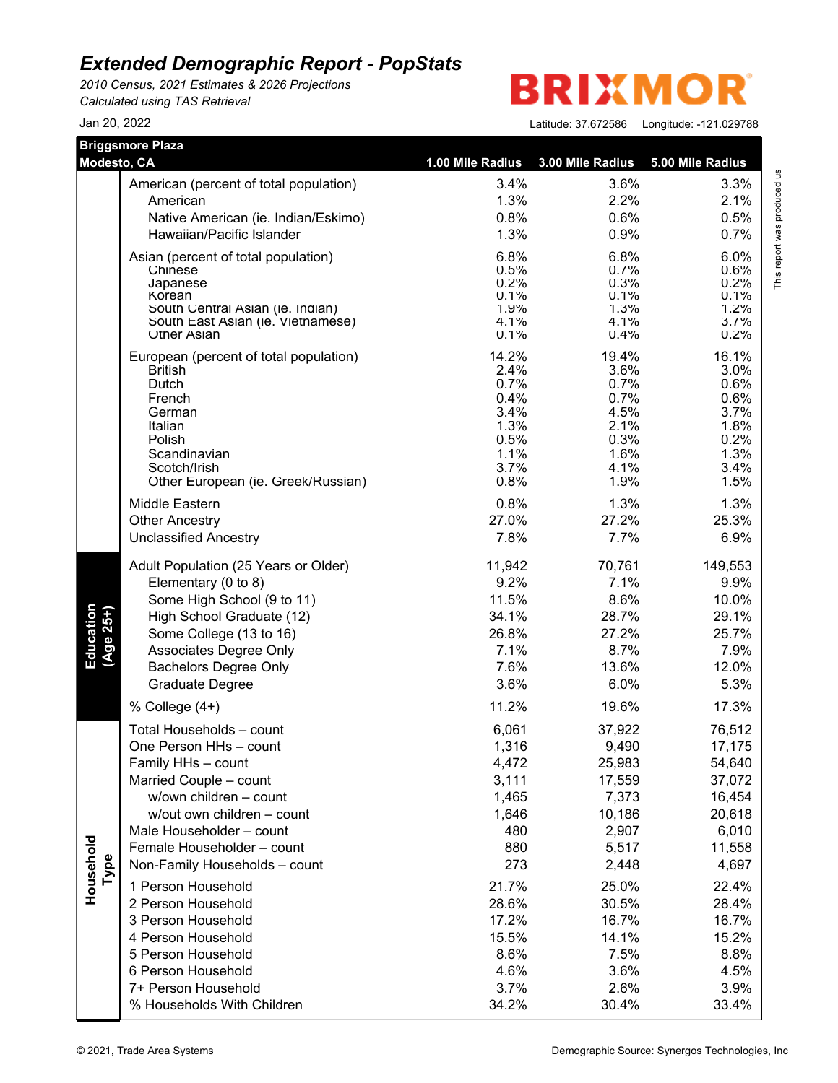*2010 Census, 2021 Estimates & 2026 Projections Calculated using TAS Retrieval*

**BRIXMO** R

| Modesto, CA            | <b>Briggsmore Plaza</b>                                 | 1.00 Mile Radius | 3.00 Mile Radius | 5.00 Mile Radius |
|------------------------|---------------------------------------------------------|------------------|------------------|------------------|
|                        |                                                         |                  |                  |                  |
|                        | American (percent of total population)                  | 3.4%             | 3.6%             | 3.3%             |
|                        | American                                                | 1.3%             | 2.2%             | 2.1%             |
|                        | Native American (ie. Indian/Eskimo)                     | 0.8%             | 0.6%             | 0.5%             |
|                        | Hawaiian/Pacific Islander                               | 1.3%             | 0.9%             | 0.7%             |
|                        | Asian (percent of total population)                     | 6.8%             | 6.8%             | 6.0%             |
|                        | Chinese<br>Japanese                                     | 0.5%<br>0.2%     | 0.7%<br>0.3%     | 0.6%<br>0.2%     |
|                        | Korean                                                  | 0.1%             | 0.1%             | 0.1%             |
|                        | South Central Asian (ie. Indian)                        | 1.9%             | 1.3%             | 1.2%             |
|                        | South East Asian (ie. Vietnamese)<br><b>Other Asian</b> | 4.1%<br>0.1%     | 4.1%<br>0.4%     | 3.7%<br>0.2%     |
|                        | European (percent of total population)                  | 14.2%            | 19.4%            | 16.1%            |
|                        | <b>British</b>                                          | 2.4%             | 3.6%             | 3.0%             |
|                        | Dutch                                                   | 0.7%             | 0.7%             | 0.6%             |
|                        | French<br>German                                        | 0.4%<br>3.4%     | 0.7%<br>4.5%     | 0.6%<br>3.7%     |
|                        | Italian                                                 | 1.3%             | 2.1%             | 1.8%             |
|                        | Polish                                                  | 0.5%             | 0.3%             | 0.2%             |
|                        | Scandinavian                                            | 1.1%             | 1.6%             | 1.3%             |
|                        | Scotch/Irish                                            | 3.7%<br>0.8%     | 4.1%<br>1.9%     | 3.4%             |
|                        | Other European (ie. Greek/Russian)                      |                  |                  | 1.5%             |
|                        | Middle Eastern                                          | 0.8%             | 1.3%             | 1.3%             |
|                        | <b>Other Ancestry</b>                                   | 27.0%            | 27.2%<br>7.7%    | 25.3%            |
|                        | <b>Unclassified Ancestry</b>                            | 7.8%             |                  | 6.9%             |
|                        | Adult Population (25 Years or Older)                    | 11,942           | 70,761           | 149,553          |
|                        | Elementary (0 to 8)                                     | 9.2%             | 7.1%             | 9.9%             |
|                        | Some High School (9 to 11)                              | 11.5%            | 8.6%             | 10.0%            |
| Education<br>(Age 25+) | High School Graduate (12)                               | 34.1%            | 28.7%            | 29.1%            |
|                        | Some College (13 to 16)                                 | 26.8%            | 27.2%            | 25.7%            |
|                        | Associates Degree Only                                  | 7.1%<br>7.6%     | 8.7%<br>13.6%    | 7.9%<br>12.0%    |
|                        | <b>Bachelors Degree Only</b><br><b>Graduate Degree</b>  | 3.6%             | 6.0%             | 5.3%             |
|                        |                                                         |                  |                  |                  |
|                        | % College $(4+)$                                        | 11.2%            | 19.6%            | 17.3%            |
|                        | Total Households - count<br>One Person HHs - count      | 6,061            | 37,922           | 76,512           |
|                        |                                                         | 1,316            | 9,490            | 17,175<br>54,640 |
|                        | Family HHs - count<br>Married Couple - count            | 4,472<br>3,111   | 25,983<br>17,559 | 37,072           |
|                        | w/own children - count                                  | 1,465            | 7,373            | 16,454           |
|                        | w/out own children - count                              | 1,646            | 10,186           | 20,618           |
|                        | Male Householder - count                                | 480              | 2,907            | 6,010            |
|                        | Female Householder - count                              | 880              | 5,517            | 11,558           |
|                        | Non-Family Households - count                           | 273              | 2,448            | 4,697            |
| Type                   |                                                         |                  |                  |                  |
| Household              | 1 Person Household<br>2 Person Household                | 21.7%            | 25.0%            | 22.4%            |
|                        |                                                         | 28.6%            | 30.5%            | 28.4%            |
|                        | 3 Person Household                                      | 17.2%            | 16.7%            | 16.7%            |
|                        | 4 Person Household                                      | 15.5%            | 14.1%<br>7.5%    | 15.2%            |
|                        | 5 Person Household<br>6 Person Household                | 8.6%<br>4.6%     | 3.6%             | 8.8%<br>4.5%     |
|                        | 7+ Person Household                                     | 3.7%             | 2.6%             | 3.9%             |
|                        | % Households With Children                              | 34.2%            | 30.4%            | 33.4%            |
|                        |                                                         |                  |                  |                  |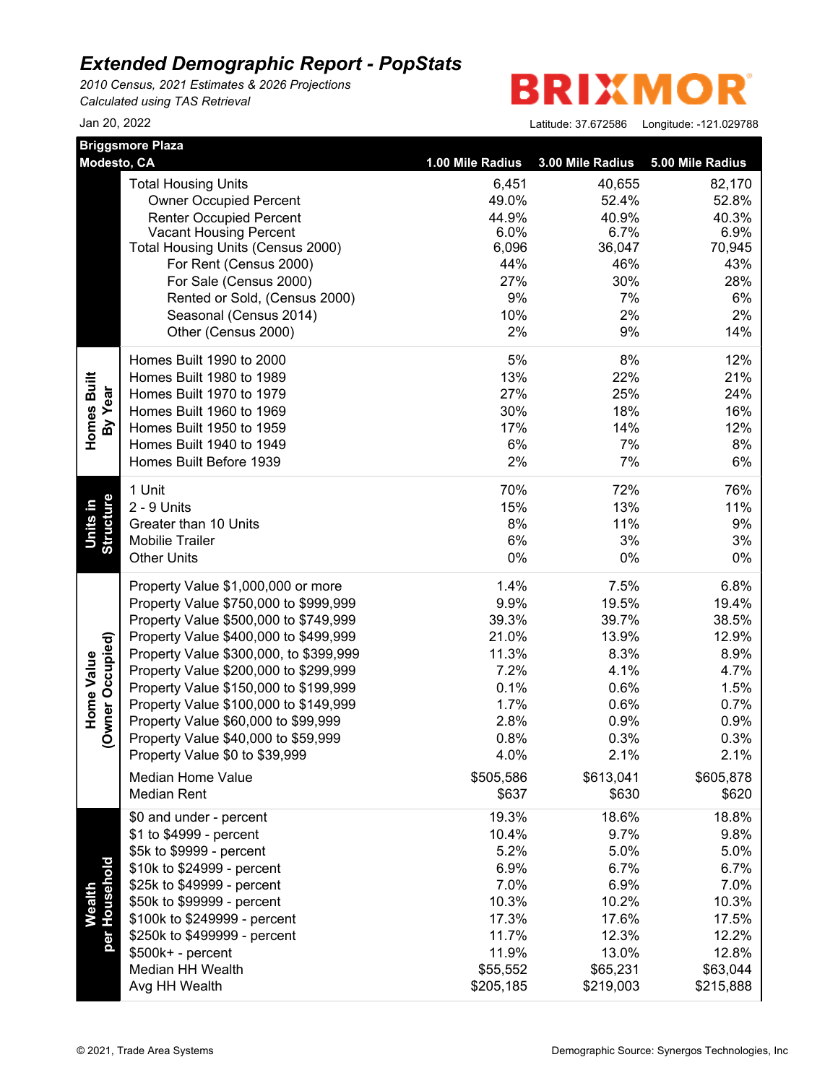*2010 Census, 2021 Estimates & 2026 Projections Calculated using TAS Retrieval*

**BRIXMO** R

|                                | <b>Briggsmore Plaza</b>                                            | 1.00 Mile Radius |                  |                  |
|--------------------------------|--------------------------------------------------------------------|------------------|------------------|------------------|
| Modesto, CA                    |                                                                    |                  | 3.00 Mile Radius | 5.00 Mile Radius |
|                                | <b>Total Housing Units</b>                                         | 6,451            | 40,655           | 82,170           |
|                                | <b>Owner Occupied Percent</b>                                      | 49.0%            | 52.4%            | 52.8%            |
|                                | <b>Renter Occupied Percent</b>                                     | 44.9%            | 40.9%            | 40.3%            |
|                                | <b>Vacant Housing Percent</b><br>Total Housing Units (Census 2000) | 6.0%<br>6,096    | 6.7%<br>36,047   | 6.9%<br>70,945   |
|                                | For Rent (Census 2000)                                             | 44%              | 46%              | 43%              |
|                                | For Sale (Census 2000)                                             | 27%              | 30%              | 28%              |
|                                | Rented or Sold, (Census 2000)                                      | 9%               | 7%               | 6%               |
|                                | Seasonal (Census 2014)                                             | 10%              | 2%               | 2%               |
|                                | Other (Census 2000)                                                | 2%               | 9%               | 14%              |
|                                | Homes Built 1990 to 2000                                           | 5%               | 8%               | 12%              |
|                                | Homes Built 1980 to 1989                                           | 13%              | 22%              | 21%              |
|                                | Homes Built 1970 to 1979                                           | 27%              | 25%              | 24%              |
|                                | Homes Built 1960 to 1969                                           | 30%              | 18%              | 16%              |
| By Year                        | Homes Built 1950 to 1959                                           | 17%              | 14%              | 12%              |
| Homes Built                    | Homes Built 1940 to 1949                                           | 6%               | 7%               | 8%               |
|                                | Homes Built Before 1939                                            | 2%               | 7%               | 6%               |
|                                | 1 Unit                                                             | 70%              | 72%              | 76%              |
| ۵Ì                             | 2 - 9 Units                                                        | 15%              | 13%              | 11%              |
|                                | Greater than 10 Units                                              | 8%               | 11%              | 9%               |
| <b>Structure</b><br>Units      | Mobilie Trailer                                                    | 6%               | 3%               | 3%               |
|                                | <b>Other Units</b>                                                 | 0%               | 0%               | 0%               |
|                                | Property Value \$1,000,000 or more                                 | 1.4%             | 7.5%             | 6.8%             |
|                                | Property Value \$750,000 to \$999,999                              | 9.9%             | 19.5%            | 19.4%            |
|                                | Property Value \$500,000 to \$749,999                              | 39.3%            | 39.7%            | 38.5%            |
|                                | Property Value \$400,000 to \$499,999                              | 21.0%            | 13.9%            | 12.9%            |
|                                | Property Value \$300,000, to \$399,999                             | 11.3%            | 8.3%             | 8.9%             |
| (Owner Occupied)<br>Home Value | Property Value \$200,000 to \$299,999                              | 7.2%             | 4.1%             | 4.7%             |
|                                | Property Value \$150,000 to \$199,999                              | 0.1%             | 0.6%             | 1.5%             |
|                                | Property Value \$100,000 to \$149,999                              | 1.7%             | 0.6%             | 0.7%             |
|                                | Property Value \$60,000 to \$99,999                                | 2.8%             | 0.9%             | 0.9%             |
|                                | Property Value \$40,000 to \$59,999                                | 0.8%             | 0.3%             | 0.3%             |
|                                | Property Value \$0 to \$39,999                                     | 4.0%             | 2.1%             | 2.1%             |
|                                | Median Home Value                                                  | \$505,586        | \$613,041        | \$605,878        |
|                                | <b>Median Rent</b>                                                 | \$637            | \$630            | \$620            |
|                                | \$0 and under - percent                                            | 19.3%            | 18.6%            | 18.8%            |
|                                | \$1 to \$4999 - percent                                            | 10.4%            | 9.7%             | 9.8%             |
|                                | \$5k to \$9999 - percent                                           | 5.2%             | 5.0%             | 5.0%             |
| Wealth<br>per Household        | \$10k to \$24999 - percent                                         | 6.9%<br>7.0%     | 6.7%             | 6.7%             |
|                                | \$25k to \$49999 - percent                                         |                  | 6.9%             | 7.0%             |
|                                | \$50k to \$99999 - percent                                         | 10.3%            | 10.2%            | 10.3%            |
|                                | \$100k to \$249999 - percent                                       | 17.3%            | 17.6%            | 17.5%            |
|                                | \$250k to \$499999 - percent                                       | 11.7%            | 12.3%            | 12.2%            |
|                                | \$500k+ - percent                                                  | 11.9%            | 13.0%            | 12.8%            |
|                                | Median HH Wealth                                                   | \$55,552         | \$65,231         | \$63,044         |
|                                | Avg HH Wealth                                                      | \$205,185        | \$219,003        | \$215,888        |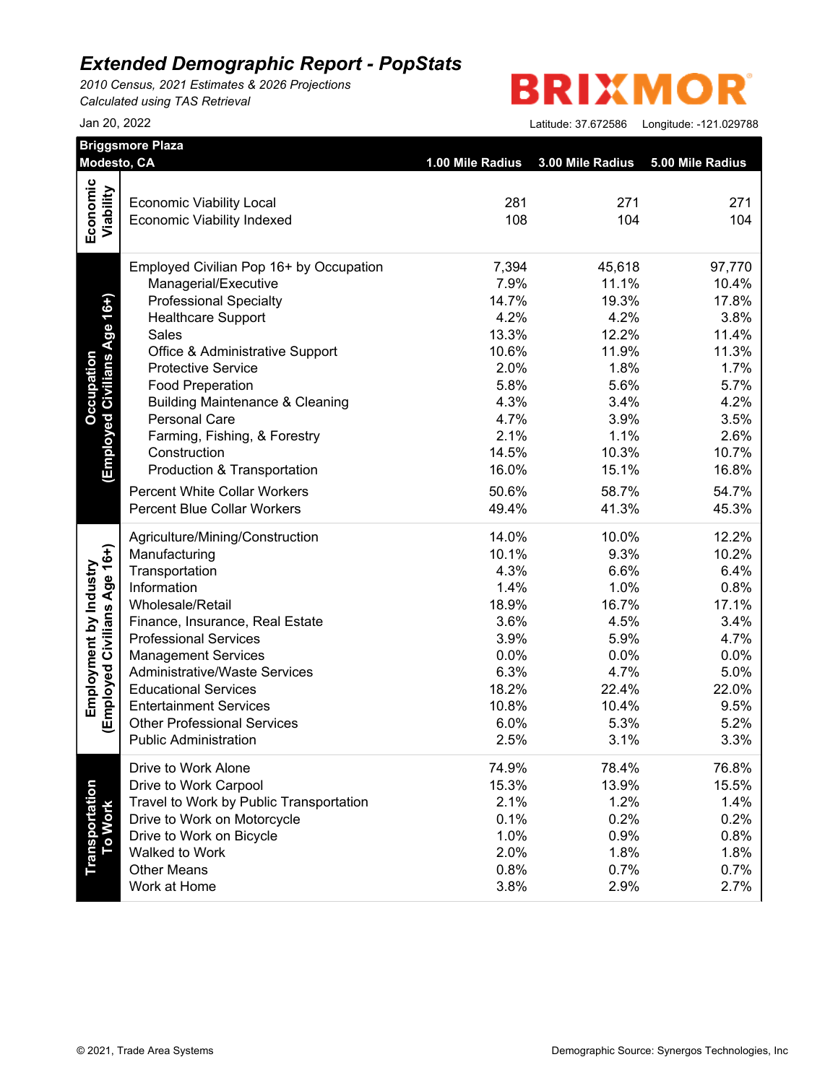*2010 Census, 2021 Estimates & 2026 Projections Calculated using TAS Retrieval*

# **BRIXMOR**

|                                                                                                   | Modesto, CA                                |       |                                                                                                                                                                                                                                                                                                                                                                                                                                                                                                                                                                                                              | 5.00 Mile Radius |
|---------------------------------------------------------------------------------------------------|--------------------------------------------|-------|--------------------------------------------------------------------------------------------------------------------------------------------------------------------------------------------------------------------------------------------------------------------------------------------------------------------------------------------------------------------------------------------------------------------------------------------------------------------------------------------------------------------------------------------------------------------------------------------------------------|------------------|
|                                                                                                   |                                            |       |                                                                                                                                                                                                                                                                                                                                                                                                                                                                                                                                                                                                              |                  |
| Economic<br>Viability                                                                             | <b>Economic Viability Local</b>            |       |                                                                                                                                                                                                                                                                                                                                                                                                                                                                                                                                                                                                              | 271              |
|                                                                                                   | <b>Economic Viability Indexed</b>          |       |                                                                                                                                                                                                                                                                                                                                                                                                                                                                                                                                                                                                              | 104              |
|                                                                                                   |                                            |       |                                                                                                                                                                                                                                                                                                                                                                                                                                                                                                                                                                                                              |                  |
|                                                                                                   | Employed Civilian Pop 16+ by Occupation    | 7,394 | 45,618                                                                                                                                                                                                                                                                                                                                                                                                                                                                                                                                                                                                       | 97,770           |
|                                                                                                   | Managerial/Executive                       | 7.9%  | 11.1%                                                                                                                                                                                                                                                                                                                                                                                                                                                                                                                                                                                                        | 10.4%            |
|                                                                                                   | <b>Professional Specialty</b>              | 14.7% | 19.3%                                                                                                                                                                                                                                                                                                                                                                                                                                                                                                                                                                                                        | 17.8%            |
|                                                                                                   | <b>Healthcare Support</b>                  | 4.2%  | 4.2%                                                                                                                                                                                                                                                                                                                                                                                                                                                                                                                                                                                                         | 3.8%             |
| Age 16+)                                                                                          | <b>Sales</b>                               |       | 12.2%                                                                                                                                                                                                                                                                                                                                                                                                                                                                                                                                                                                                        | 11.4%            |
|                                                                                                   | Office & Administrative Support            |       |                                                                                                                                                                                                                                                                                                                                                                                                                                                                                                                                                                                                              | 11.3%            |
|                                                                                                   | <b>Protective Service</b>                  |       |                                                                                                                                                                                                                                                                                                                                                                                                                                                                                                                                                                                                              | 1.7%             |
|                                                                                                   | <b>Food Preperation</b>                    |       |                                                                                                                                                                                                                                                                                                                                                                                                                                                                                                                                                                                                              | 5.7%             |
|                                                                                                   | <b>Building Maintenance &amp; Cleaning</b> |       |                                                                                                                                                                                                                                                                                                                                                                                                                                                                                                                                                                                                              | 4.2%             |
|                                                                                                   | <b>Personal Care</b>                       |       |                                                                                                                                                                                                                                                                                                                                                                                                                                                                                                                                                                                                              | 3.5%             |
|                                                                                                   | Farming, Fishing, & Forestry               |       |                                                                                                                                                                                                                                                                                                                                                                                                                                                                                                                                                                                                              | 2.6%             |
|                                                                                                   | Construction                               |       |                                                                                                                                                                                                                                                                                                                                                                                                                                                                                                                                                                                                              | 10.7%            |
|                                                                                                   | Production & Transportation                |       |                                                                                                                                                                                                                                                                                                                                                                                                                                                                                                                                                                                                              | 16.8%            |
|                                                                                                   | <b>Percent White Collar Workers</b>        | 50.6% | 58.7%                                                                                                                                                                                                                                                                                                                                                                                                                                                                                                                                                                                                        | 54.7%            |
|                                                                                                   | <b>Percent Blue Collar Workers</b>         | 49.4% | 41.3%                                                                                                                                                                                                                                                                                                                                                                                                                                                                                                                                                                                                        | 45.3%            |
|                                                                                                   | Agriculture/Mining/Construction            | 14.0% | 10.0%                                                                                                                                                                                                                                                                                                                                                                                                                                                                                                                                                                                                        | 12.2%            |
|                                                                                                   | Manufacturing                              |       |                                                                                                                                                                                                                                                                                                                                                                                                                                                                                                                                                                                                              | 10.2%            |
|                                                                                                   | Transportation                             |       | 1.00 Mile Radius<br>3.00 Mile Radius<br>281<br>271<br>108<br>104<br>13.3%<br>10.6%<br>11.9%<br>2.0%<br>1.8%<br>5.8%<br>5.6%<br>4.3%<br>3.4%<br>4.7%<br>3.9%<br>2.1%<br>1.1%<br>14.5%<br>10.3%<br>16.0%<br>15.1%<br>10.1%<br>9.3%<br>4.3%<br>6.6%<br>1.4%<br>1.0%<br>18.9%<br>16.7%<br>3.6%<br>4.5%<br>3.9%<br>5.9%<br>0.0%<br>0.0%<br>6.3%<br>4.7%<br>18.2%<br>22.4%<br>10.8%<br>10.4%<br>6.0%<br>5.3%<br>2.5%<br>3.1%<br>74.9%<br>78.4%<br>15.3%<br>13.9%<br>2.1%<br>1.2%<br>0.1%<br>0.2%<br>1.0%<br>0.9%<br>2.0%<br>1.8%<br>0.8%<br>0.7%<br>3.8%<br>2.9%<br>Demographic Source: Synergos Technologies, Inc | 6.4%             |
| Occupation<br><b>Employed Civilians</b><br>(Employed Civilians Age 16+)<br>Employment by Industry | Information                                |       |                                                                                                                                                                                                                                                                                                                                                                                                                                                                                                                                                                                                              | 0.8%             |
|                                                                                                   | Wholesale/Retail                           |       |                                                                                                                                                                                                                                                                                                                                                                                                                                                                                                                                                                                                              | 17.1%            |
|                                                                                                   | Finance, Insurance, Real Estate            |       |                                                                                                                                                                                                                                                                                                                                                                                                                                                                                                                                                                                                              | 3.4%             |
|                                                                                                   | <b>Professional Services</b>               |       |                                                                                                                                                                                                                                                                                                                                                                                                                                                                                                                                                                                                              | 4.7%             |
|                                                                                                   | <b>Management Services</b>                 |       |                                                                                                                                                                                                                                                                                                                                                                                                                                                                                                                                                                                                              | 0.0%             |
|                                                                                                   | <b>Administrative/Waste Services</b>       |       |                                                                                                                                                                                                                                                                                                                                                                                                                                                                                                                                                                                                              | 5.0%             |
|                                                                                                   | <b>Educational Services</b>                |       |                                                                                                                                                                                                                                                                                                                                                                                                                                                                                                                                                                                                              | 22.0%            |
|                                                                                                   | <b>Entertainment Services</b>              |       |                                                                                                                                                                                                                                                                                                                                                                                                                                                                                                                                                                                                              | 9.5%             |
|                                                                                                   | <b>Other Professional Services</b>         |       |                                                                                                                                                                                                                                                                                                                                                                                                                                                                                                                                                                                                              | 5.2%             |
|                                                                                                   | <b>Public Administration</b>               |       |                                                                                                                                                                                                                                                                                                                                                                                                                                                                                                                                                                                                              | 3.3%             |
|                                                                                                   | Drive to Work Alone                        |       |                                                                                                                                                                                                                                                                                                                                                                                                                                                                                                                                                                                                              | 76.8%            |
|                                                                                                   | Drive to Work Carpool                      |       |                                                                                                                                                                                                                                                                                                                                                                                                                                                                                                                                                                                                              | 15.5%            |
|                                                                                                   | Travel to Work by Public Transportation    |       |                                                                                                                                                                                                                                                                                                                                                                                                                                                                                                                                                                                                              | 1.4%             |
|                                                                                                   | Drive to Work on Motorcycle                |       |                                                                                                                                                                                                                                                                                                                                                                                                                                                                                                                                                                                                              | 0.2%             |
|                                                                                                   | Drive to Work on Bicycle                   |       |                                                                                                                                                                                                                                                                                                                                                                                                                                                                                                                                                                                                              | 0.8%             |
| Transportation<br>To Work                                                                         | Walked to Work                             |       |                                                                                                                                                                                                                                                                                                                                                                                                                                                                                                                                                                                                              | 1.8%             |
|                                                                                                   | <b>Other Means</b><br>Work at Home         |       |                                                                                                                                                                                                                                                                                                                                                                                                                                                                                                                                                                                                              | 0.7%             |
|                                                                                                   |                                            |       |                                                                                                                                                                                                                                                                                                                                                                                                                                                                                                                                                                                                              | 2.7%             |